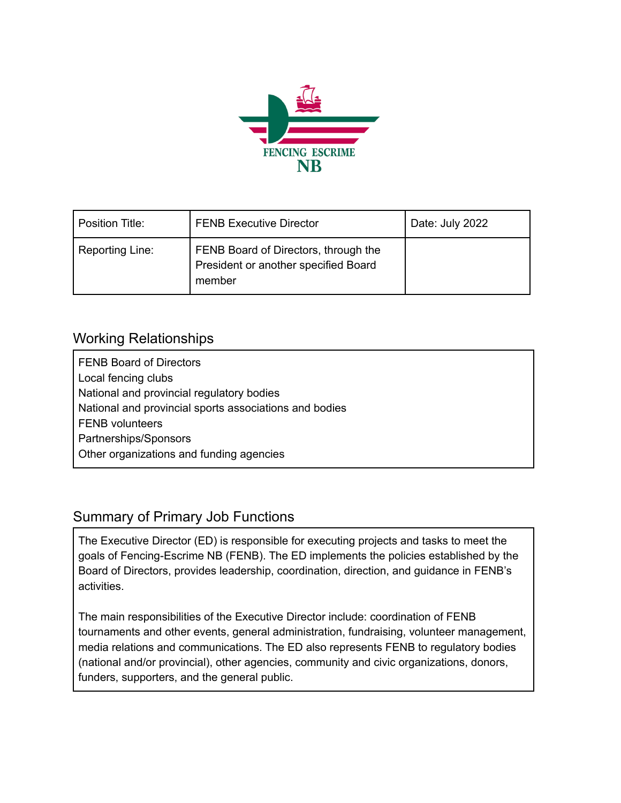

| Position Title: | <b>FENB Executive Director</b>                                                         | Date: July 2022 |
|-----------------|----------------------------------------------------------------------------------------|-----------------|
| Reporting Line: | FENB Board of Directors, through the<br>President or another specified Board<br>member |                 |

## Working Relationships

FENB Board of Directors Local fencing clubs National and provincial regulatory bodies National and provincial sports associations and bodies FENB volunteers Partnerships/Sponsors Other organizations and funding agencies

## Summary of Primary Job Functions

The Executive Director (ED) is responsible for executing projects and tasks to meet the goals of Fencing-Escrime NB (FENB). The ED implements the policies established by the Board of Directors, provides leadership, coordination, direction, and guidance in FENB's activities.

The main responsibilities of the Executive Director include: coordination of FENB tournaments and other events, general administration, fundraising, volunteer management, media relations and communications. The ED also represents FENB to regulatory bodies (national and/or provincial), other agencies, community and civic organizations, donors, funders, supporters, and the general public.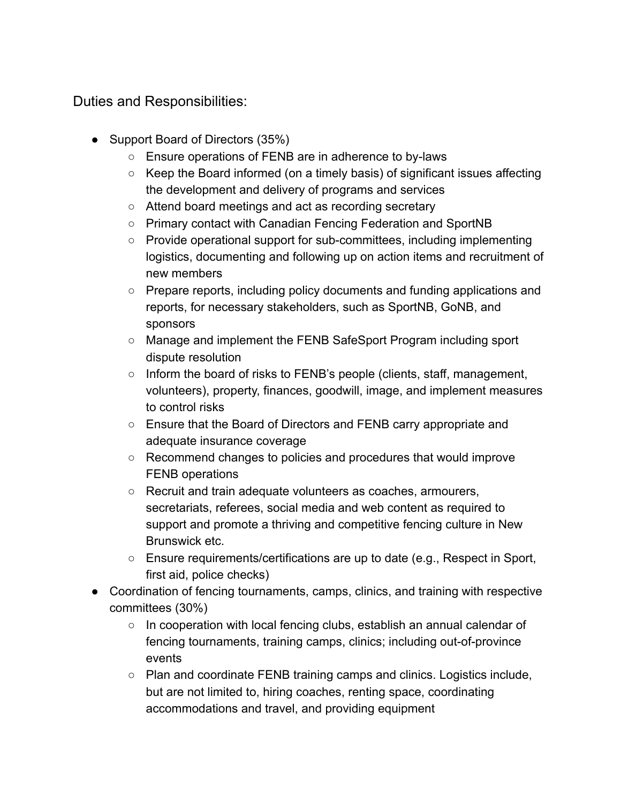Duties and Responsibilities:

- Support Board of Directors (35%)
	- Ensure operations of FENB are in adherence to by-laws
	- Keep the Board informed (on a timely basis) of significant issues affecting the development and delivery of programs and services
	- Attend board meetings and act as recording secretary
	- Primary contact with Canadian Fencing Federation and SportNB
	- Provide operational support for sub-committees, including implementing logistics, documenting and following up on action items and recruitment of new members
	- Prepare reports, including policy documents and funding applications and reports, for necessary stakeholders, such as SportNB, GoNB, and sponsors
	- Manage and implement the FENB SafeSport Program including sport dispute resolution
	- Inform the board of risks to FENB's people (clients, staff, management, volunteers), property, finances, goodwill, image, and implement measures to control risks
	- Ensure that the Board of Directors and FENB carry appropriate and adequate insurance coverage
	- Recommend changes to policies and procedures that would improve FENB operations
	- Recruit and train adequate volunteers as coaches, armourers, secretariats, referees, social media and web content as required to support and promote a thriving and competitive fencing culture in New Brunswick etc.
	- Ensure requirements/certifications are up to date (e.g., Respect in Sport, first aid, police checks)
- Coordination of fencing tournaments, camps, clinics, and training with respective committees (30%)
	- In cooperation with local fencing clubs, establish an annual calendar of fencing tournaments, training camps, clinics; including out-of-province events
	- Plan and coordinate FENB training camps and clinics. Logistics include, but are not limited to, hiring coaches, renting space, coordinating accommodations and travel, and providing equipment